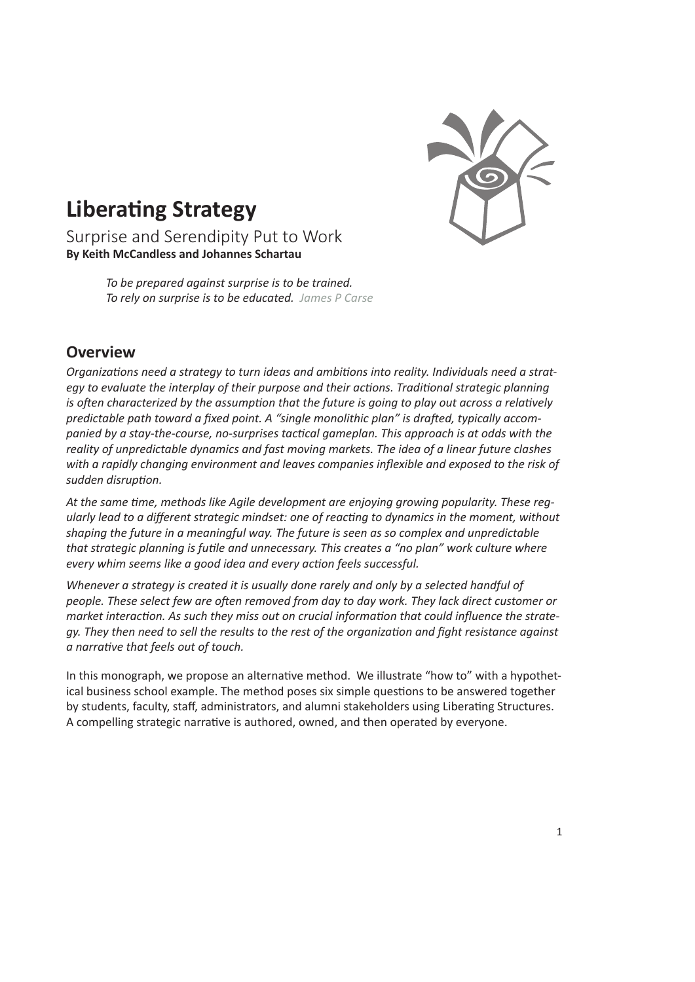

# **Liberating Strategy**

Surprise and Serendipity Put to Work **By Keith McCandless and Johannes Schartau**

> *To be prepared against surprise is to be trained. To rely on surprise is to be educated. James P Carse*

# **Overview**

*Organizations need a strategy to turn ideas and ambitions into reality. Individuals need a strat*egy to evaluate the interplay of their purpose and their actions. Traditional strategic planning *is often characterized by the assumption that the future is going to play out across a relatively predictable path toward a fixed point. A "single monolithic plan" is drafted, typically accompanied by a stay-the-course, no-surprises tactical gameplan. This approach is at odds with the reality of unpredictable dynamics and fast moving markets. The idea of a linear future clashes with a rapidly changing environment and leaves companies inflexible and exposed to the risk of sudden disruption.*

*At the same time, methods like Agile development are enjoying growing popularity. These regularly lead to a different strategic mindset: one of reacting to dynamics in the moment, without shaping the future in a meaningful way. The future is seen as so complex and unpredictable that strategic planning is futile and unnecessary. This creates a "no plan" work culture where every whim seems like a good idea and every action feels successful.* 

*Whenever a strategy is created it is usually done rarely and only by a selected handful of people. These select few are often removed from day to day work. They lack direct customer or market interaction. As such they miss out on crucial information that could influence the strategy. They then need to sell the results to the rest of the organization and fight resistance against a narrative that feels out of touch.*

In this monograph, we propose an alternative method. We illustrate "how to" with a hypothetical business school example. The method poses six simple questions to be answered together by students, faculty, staff, administrators, and alumni stakeholders using Liberating Structures. A compelling strategic narrative is authored, owned, and then operated by everyone.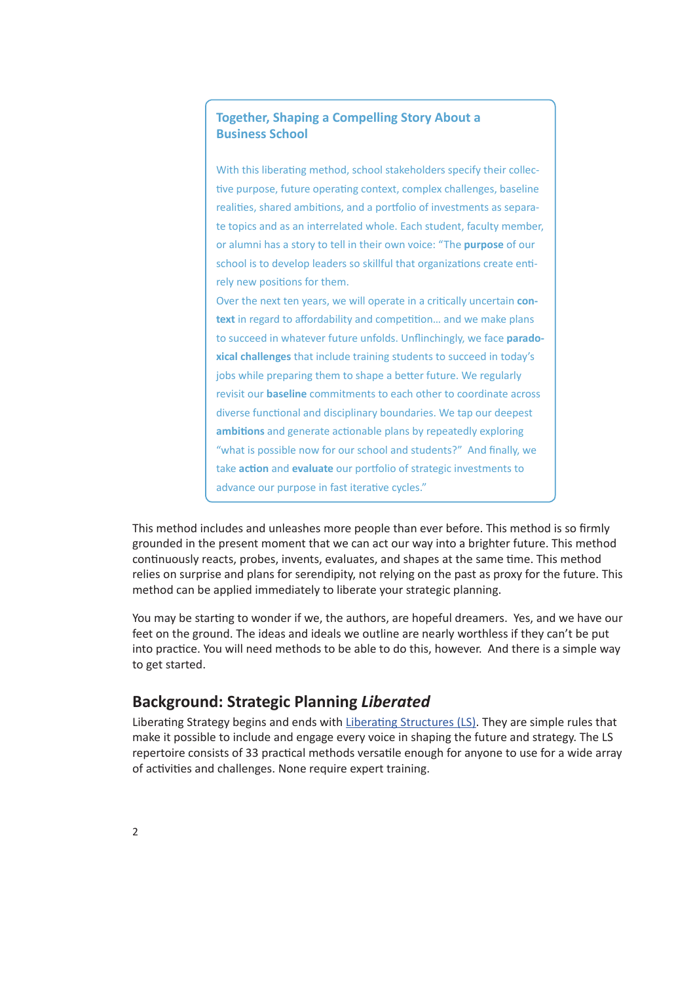## **Together, Shaping a Compelling Story About a Business School**

With this liberating method, school stakeholders specify their collective purpose, future operating context, complex challenges, baseline realities, shared ambitions, and a portfolio of investments as separate topics and as an interrelated whole. Each student, faculty member, or alumni has a story to tell in their own voice: "The **purpose** of our school is to develop leaders so skillful that organizations create entirely new positions for them.

Over the next ten years, we will operate in a critically uncertain **context** in regard to affordability and competition… and we make plans to succeed in whatever future unfolds. Unflinchingly, we face **paradoxical challenges** that include training students to succeed in today's jobs while preparing them to shape a better future. We regularly revisit our **baseline** commitments to each other to coordinate across diverse functional and disciplinary boundaries. We tap our deepest **ambitions** and generate actionable plans by repeatedly exploring "what is possible now for our school and students?" And finally, we take **action** and **evaluate** our portfolio of strategic investments to advance our purpose in fast iterative cycles."

This method includes and unleashes more people than ever before. This method is so firmly grounded in the present moment that we can act our way into a brighter future. This method continuously reacts, probes, invents, evaluates, and shapes at the same time. This method relies on surprise and plans for serendipity, not relying on the past as proxy for the future. This method can be applied immediately to liberate your strategic planning.

You may be starting to wonder if we, the authors, are hopeful dreamers. Yes, and we have our feet on the ground. The ideas and ideals we outline are nearly worthless if they can't be put into practice. You will need methods to be able to do this, however. And there is a simple way to get started.

# **Background: Strategic Planning** *Liberated*

Liberating Strategy begins and ends with Liberating Structures (LS). They are simple rules that make it possible to include and engage every voice in shaping the future and strategy. The LS repertoire consists of 33 practical methods versatile enough for anyone to use for a wide array of activities and challenges. None require expert training.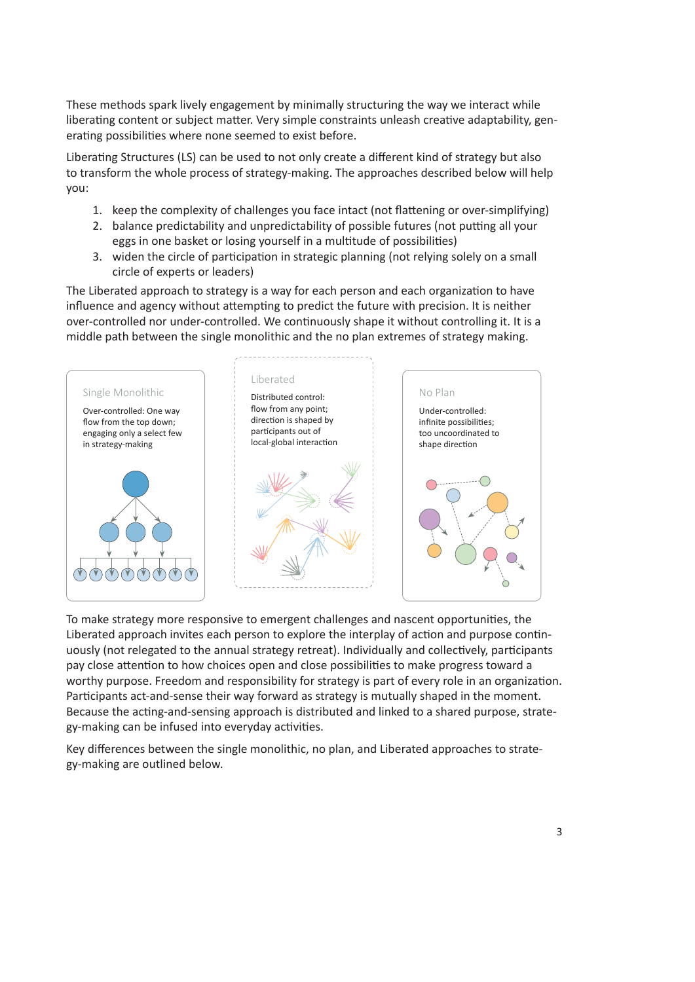These methods spark lively engagement by minimally structuring the way we interact while liberating content or subject matter. Very simple constraints unleash creative adaptability, generating possibilities where none seemed to exist before.

Liberating Structures (LS) can be used to not only create a different kind of strategy but also to transform the whole process of strategy-making. The approaches described below will help you:

- 1. keep the complexity of challenges you face intact (not flattening or over-simplifying)
- 2. balance predictability and unpredictability of possible futures (not putting all your eggs in one basket or losing yourself in a multitude of possibilities)
- 3. widen the circle of participation in strategic planning (not relying solely on a small circle of experts or leaders)

The Liberated approach to strategy is a way for each person and each organization to have influence and agency without attempting to predict the future with precision. It is neither over-controlled nor under-controlled. We continuously shape it without controlling it. It is a middle path between the single monolithic and the no plan extremes of strategy making.



To make strategy more responsive to emergent challenges and nascent opportunities, the Liberated approach invites each person to explore the interplay of action and purpose continuously (not relegated to the annual strategy retreat). Individually and collectively, participants pay close attention to how choices open and close possibilities to make progress toward a worthy purpose. Freedom and responsibility for strategy is part of every role in an organization. Participants act-and-sense their way forward as strategy is mutually shaped in the moment. Because the acting-and-sensing approach is distributed and linked to a shared purpose, strategy-making can be infused into everyday activities.

Key differences between the single monolithic, no plan, and Liberated approaches to strategy-making are outlined below.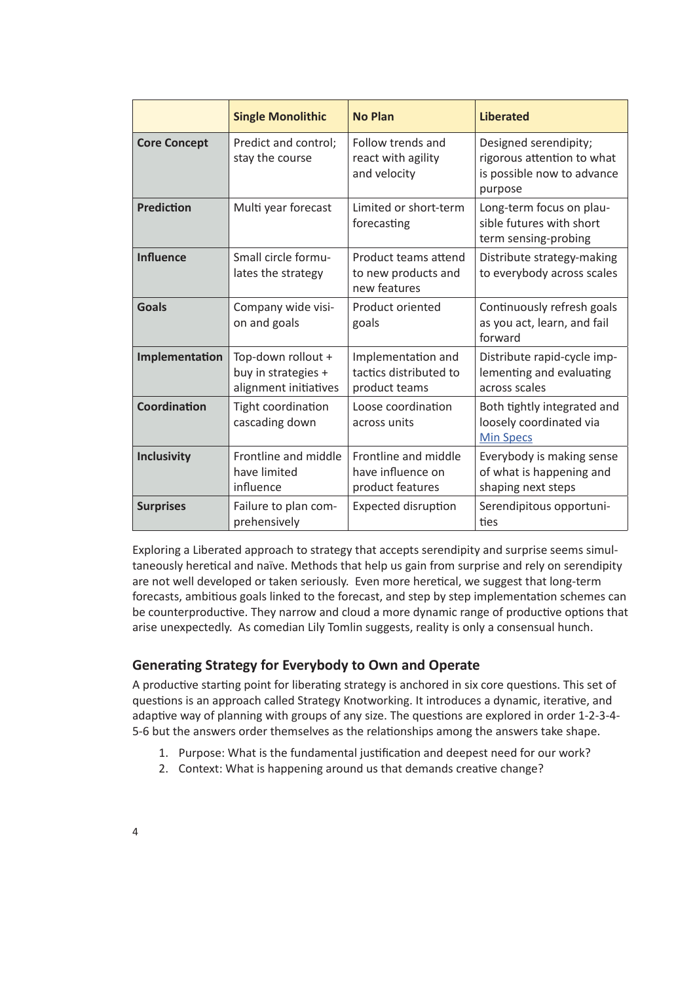|                     | <b>Single Monolithic</b>                                           | <b>No Plan</b>                                                | <b>Liberated</b>                                                                             |
|---------------------|--------------------------------------------------------------------|---------------------------------------------------------------|----------------------------------------------------------------------------------------------|
| <b>Core Concept</b> | Predict and control;<br>stay the course                            | Follow trends and<br>react with agility<br>and velocity       | Designed serendipity;<br>rigorous attention to what<br>is possible now to advance<br>purpose |
| <b>Prediction</b>   | Multi year forecast                                                | Limited or short-term<br>forecasting                          | Long-term focus on plau-<br>sible futures with short<br>term sensing-probing                 |
| <b>Influence</b>    | Small circle formu-<br>lates the strategy                          | Product teams attend<br>to new products and<br>new features   | Distribute strategy-making<br>to everybody across scales                                     |
| <b>Goals</b>        | Company wide visi-<br>on and goals                                 | Product oriented<br>goals                                     | Continuously refresh goals<br>as you act, learn, and fail<br>forward                         |
| Implementation      | Top-down rollout +<br>buy in strategies +<br>alignment initiatives | Implementation and<br>tactics distributed to<br>product teams | Distribute rapid-cycle imp-<br>lementing and evaluating<br>across scales                     |
| Coordination        | Tight coordination<br>cascading down                               | Loose coordination<br>across units                            | Both tightly integrated and<br>loosely coordinated via<br><b>Min Specs</b>                   |
| <b>Inclusivity</b>  | Frontline and middle<br>have limited<br>influence                  | Frontline and middle<br>have influence on<br>product features | Everybody is making sense<br>of what is happening and<br>shaping next steps                  |
| <b>Surprises</b>    | Failure to plan com-<br>prehensively                               | <b>Expected disruption</b>                                    | Serendipitous opportuni-<br>ties                                                             |

Exploring a Liberated approach to strategy that accepts serendipity and surprise seems simultaneously heretical and naïve. Methods that help us gain from surprise and rely on serendipity are not well developed or taken seriously. Even more heretical, we suggest that long-term forecasts, ambitious goals linked to the forecast, and step by step implementation schemes can be counterproductive. They narrow and cloud a more dynamic range of productive options that arise unexpectedly. As comedian Lily Tomlin suggests, reality is only a consensual hunch.

# **Generating Strategy for Everybody to Own and Operate**

A productive starting point for liberating strategy is anchored in six core questions. This set of questions is an approach called Strategy Knotworking. It introduces a dynamic, iterative, and adaptive way of planning with groups of any size. The questions are explored in order 1-2-3-4- 5-6 but the answers order themselves as the relationships among the answers take shape.

- 1. Purpose: What is the fundamental justification and deepest need for our work?
- 2. Context: What is happening around us that demands creative change?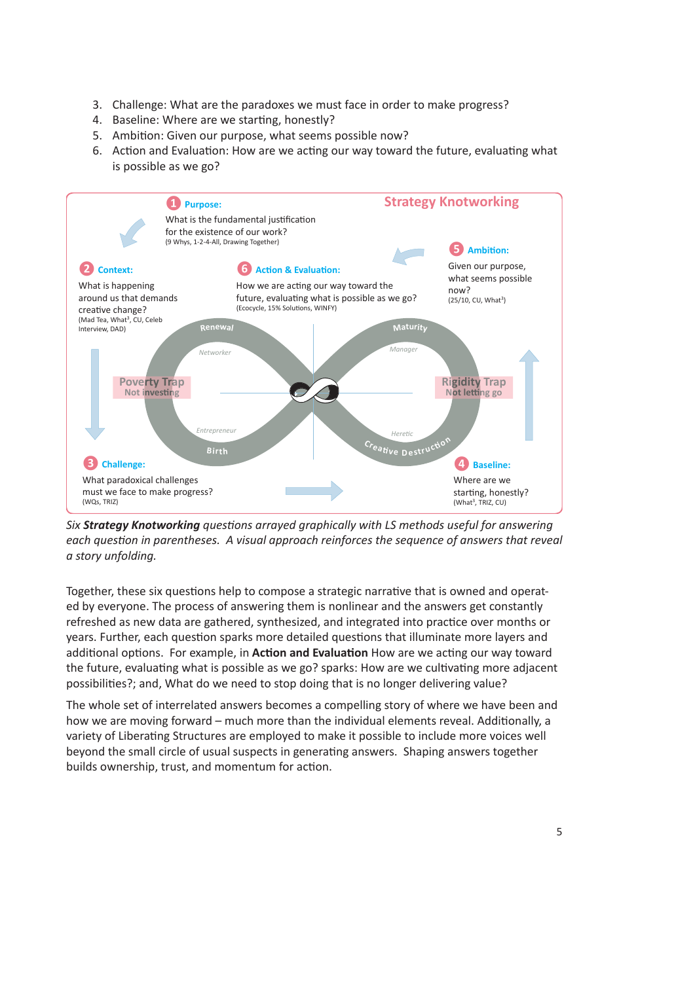- 3. Challenge: What are the paradoxes we must face in order to make progress?
- 4. Baseline: Where are we starting, honestly?
- 5. Ambition: Given our purpose, what seems possible now?
- 6. Action and Evaluation: How are we acting our way toward the future, evaluating what is possible as we go?



*Six Strategy Knotworking questions arrayed graphically with LS methods useful for answering each question in parentheses. A visual approach reinforces the sequence of answers that reveal a story unfolding.*

Together, these six questions help to compose a strategic narrative that is owned and operated by everyone. The process of answering them is nonlinear and the answers get constantly refreshed as new data are gathered, synthesized, and integrated into practice over months or years. Further, each question sparks more detailed questions that illuminate more layers and additional options. For example, in **Action and Evaluation** How are we acting our way toward the future, evaluating what is possible as we go? sparks: How are we cultivating more adjacent possibilities?; and, What do we need to stop doing that is no longer delivering value?

The whole set of interrelated answers becomes a compelling story of where we have been and how we are moving forward – much more than the individual elements reveal. Additionally, a variety of Liberating Structures are employed to make it possible to include more voices well beyond the small circle of usual suspects in generating answers. Shaping answers together builds ownership, trust, and momentum for action.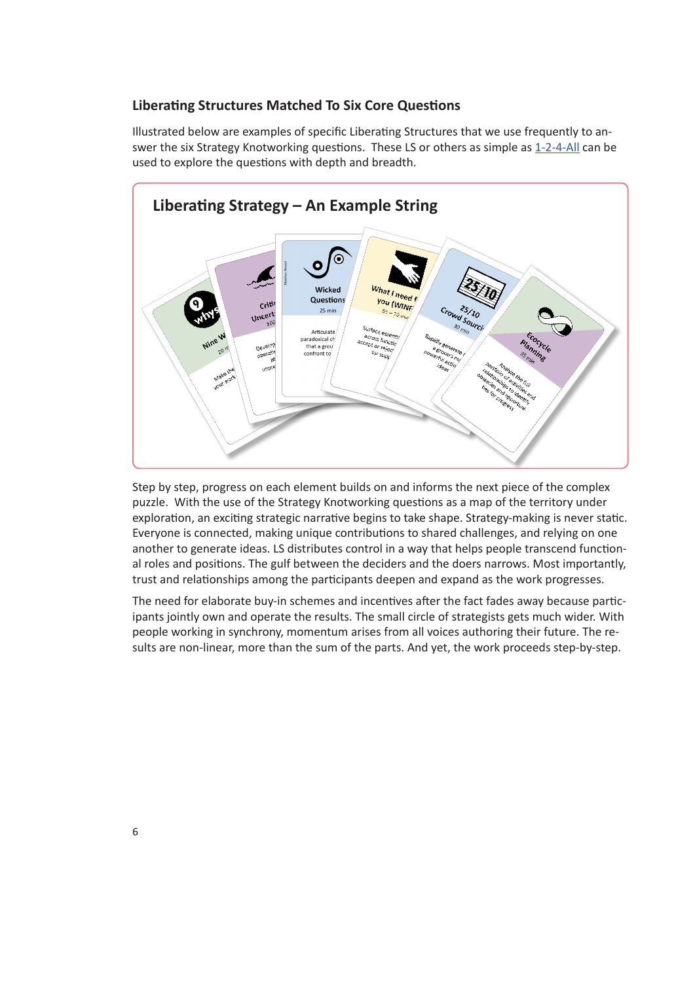#### **Liberating Structures Matched To Six Core Questions**

Illustrated below are examples of specific Liberating Structures that we use frequently to answer the six Strategy Knotworking questions. These LS or others as simple as 1-2-4-All can be used to explore the questions with depth and breadth.



Step by step, progress on each element builds on and informs the next piece of the complex puzzle. With the use of the Strategy Knotworking questions as a map of the territory under exploration, an exciting strategic narrative begins to take shape. Strategy-making is never static. Everyone is connected, making unique contributions to shared challenges, and relying on one another to generate ideas. LS distributes control in a way that helps people transcend functional roles and positions. The gulf between the deciders and the doers narrows. Most importantly, trust and relationships among the participants deepen and expand as the work progresses.

The need for elaborate buy-in schemes and incentives after the fact fades away because participants jointly own and operate the results. The small circle of strategists gets much wider. With people working in synchrony, momentum arises from all voices authoring their future. The results are non-linear, more than the sum of the parts. And yet, the work proceeds step-by-step.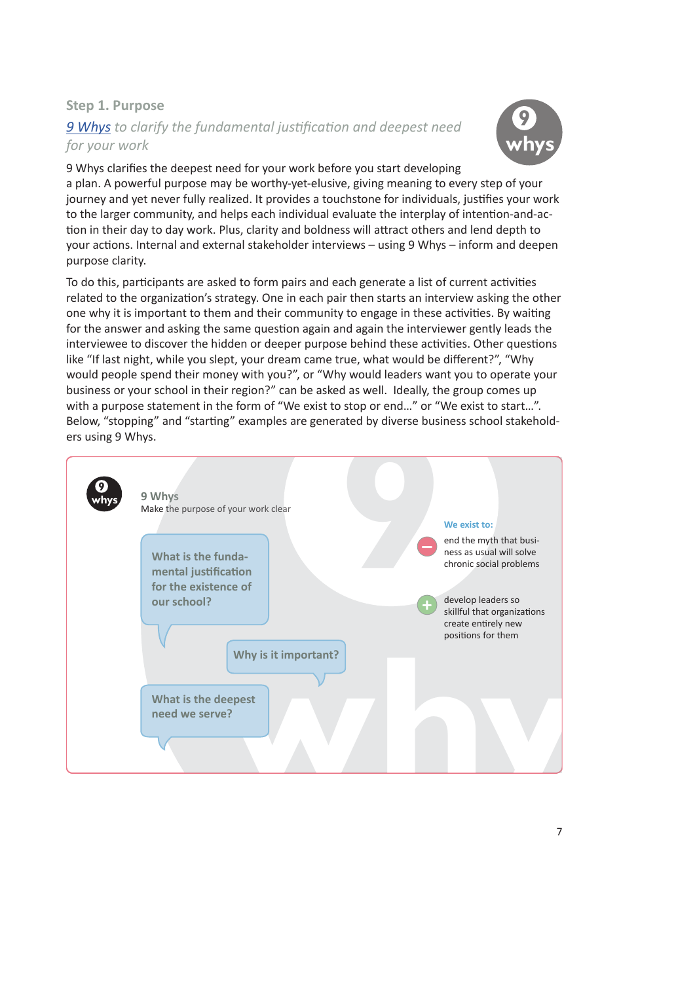## **Step 1. Purpose**

# *9 Whys to clarify the fundamental justification and deepest need for your work*



9 Whys clarifies the deepest need for your work before you start developing a plan. A powerful purpose may be worthy-yet-elusive, giving meaning to every step of your journey and yet never fully realized. It provides a touchstone for individuals, justifies your work to the larger community, and helps each individual evaluate the interplay of intention-and-action in their day to day work. Plus, clarity and boldness will attract others and lend depth to your actions. Internal and external stakeholder interviews – using 9 Whys – inform and deepen purpose clarity.

To do this, participants are asked to form pairs and each generate a list of current activities related to the organization's strategy. One in each pair then starts an interview asking the other one why it is important to them and their community to engage in these activities. By waiting for the answer and asking the same question again and again the interviewer gently leads the interviewee to discover the hidden or deeper purpose behind these activities. Other questions like "If last night, while you slept, your dream came true, what would be different?", "Why would people spend their money with you?", or "Why would leaders want you to operate your business or your school in their region?" can be asked as well. Ideally, the group comes up with a purpose statement in the form of "We exist to stop or end..." or "We exist to start...". Below, "stopping" and "starting" examples are generated by diverse business school stakeholders using 9 Whys.

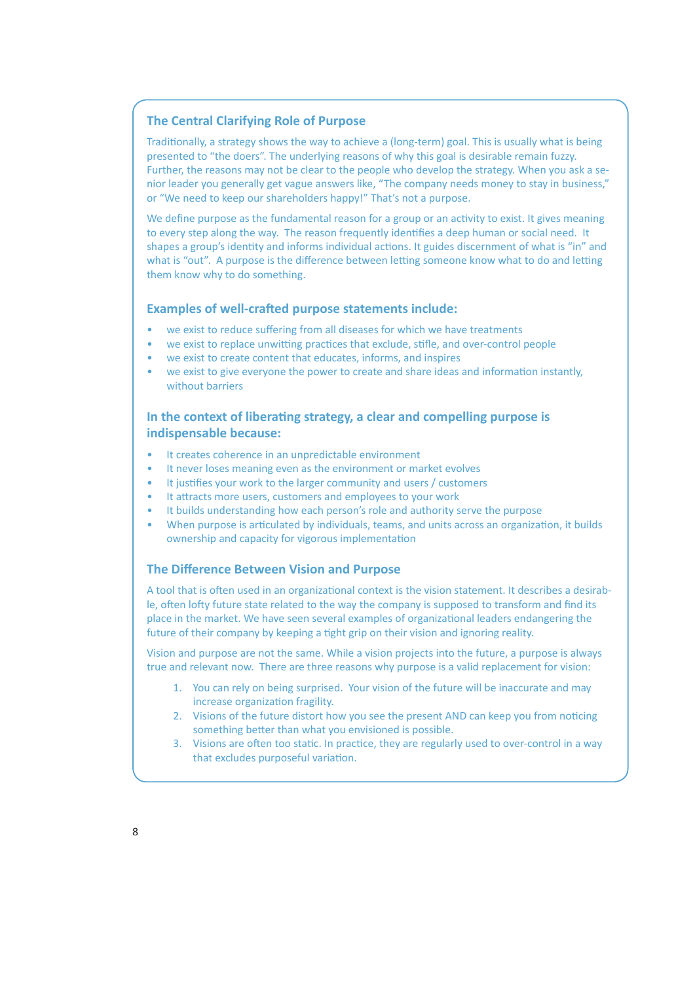#### **The Central Clarifying Role of Purpose**

Traditionally, a strategy shows the way to achieve a (long-term) goal. This is usually what is being presented to "the doers". The underlying reasons of why this goal is desirable remain fuzzy. Further, the reasons may not be clear to the people who develop the strategy. When you ask a senior leader you generally get vague answers like, "The company needs money to stay in business," or "We need to keep our shareholders happy!" That's not a purpose.

We define purpose as the fundamental reason for a group or an activity to exist. It gives meaning to every step along the way. The reason frequently identifies a deep human or social need. It shapes a group's identity and informs individual actions. It guides discernment of what is "in" and what is "out". A purpose is the difference between letting someone know what to do and letting them know why to do something.

#### **Examples of well-crafted purpose statements include:**

- we exist to reduce suffering from all diseases for which we have treatments
- we exist to replace unwitting practices that exclude, stifle, and over-control people
- we exist to create content that educates, informs, and inspires
- we exist to give everyone the power to create and share ideas and information instantly, without barriers

### **In the context of liberating strategy, a clear and compelling purpose is indispensable because:**

- It creates coherence in an unpredictable environment
- It never loses meaning even as the environment or market evolves
- It justifies your work to the larger community and users / customers
- It attracts more users, customers and employees to your work
- It builds understanding how each person's role and authority serve the purpose
- When purpose is articulated by individuals, teams, and units across an organization, it builds ownership and capacity for vigorous implementation

#### **The Difference Between Vision and Purpose**

A tool that is often used in an organizational context is the vision statement. It describes a desirable, often lofty future state related to the way the company is supposed to transform and find its place in the market. We have seen several examples of organizational leaders endangering the future of their company by keeping a tight grip on their vision and ignoring reality.

Vision and purpose are not the same. While a vision projects into the future, a purpose is always true and relevant now. There are three reasons why purpose is a valid replacement for vision:

- 1. You can rely on being surprised. Your vision of the future will be inaccurate and may increase organization fragility.
- 2. Visions of the future distort how you see the present AND can keep you from noticing something better than what you envisioned is possible.
- 3. Visions are often too static. In practice, they are regularly used to over-control in a way that excludes purposeful variation.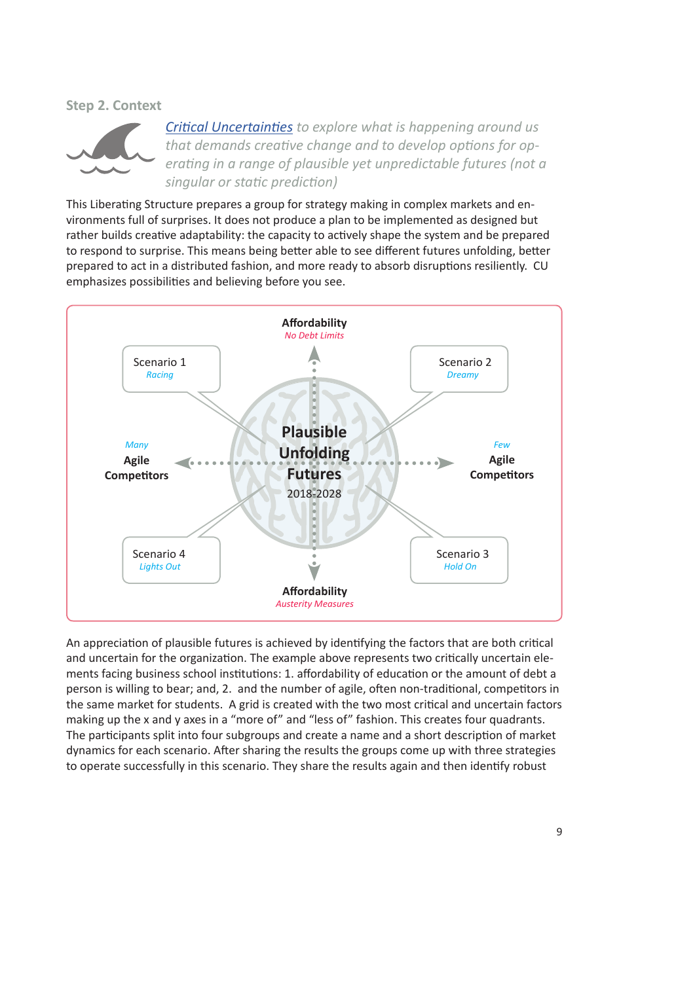#### **Step 2. Context**



*Critical Uncertainties to explore what is happening around us that demands creative change and to develop options for operating in a range of plausible yet unpredictable futures (not a singular or static prediction)* 

This Liberating Structure prepares a group for strategy making in complex markets and environments full of surprises. It does not produce a plan to be implemented as designed but rather builds creative adaptability: the capacity to actively shape the system and be prepared to respond to surprise. This means being better able to see different futures unfolding, better prepared to act in a distributed fashion, and more ready to absorb disruptions resiliently. CU emphasizes possibilities and believing before you see.



An appreciation of plausible futures is achieved by identifying the factors that are both critical and uncertain for the organization. The example above represents two critically uncertain elements facing business school institutions: 1. affordability of education or the amount of debt a person is willing to bear; and, 2. and the number of agile, often non-traditional, competitors in the same market for students. A grid is created with the two most critical and uncertain factors making up the x and y axes in a "more of" and "less of" fashion. This creates four quadrants. The participants split into four subgroups and create a name and a short description of market dynamics for each scenario. After sharing the results the groups come up with three strategies to operate successfully in this scenario. They share the results again and then identify robust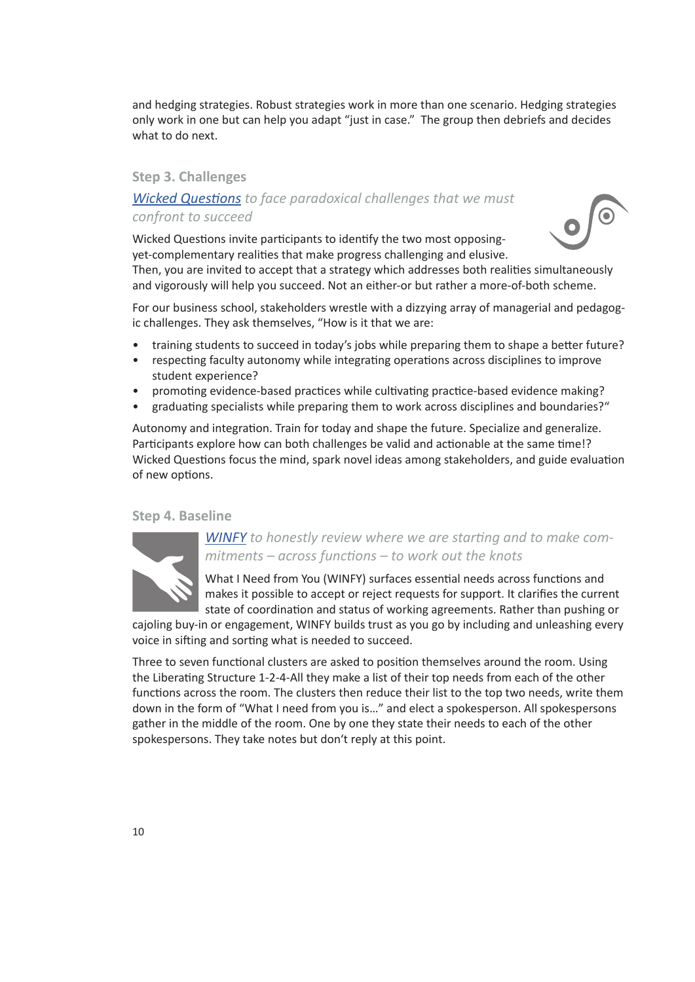and hedging strategies. Robust strategies work in more than one scenario. Hedging strategies only work in one but can help you adapt "just in case." The group then debriefs and decides what to do next.

#### **Step 3. Challenges**

# *Wicked Questions to face paradoxical challenges that we must confront to succeed*



Wicked Questions invite participants to identify the two most opposingyet-complementary realities that make progress challenging and elusive.

Then, you are invited to accept that a strategy which addresses both realities simultaneously and vigorously will help you succeed. Not an either-or but rather a more-of-both scheme.

For our business school, stakeholders wrestle with a dizzying array of managerial and pedagogic challenges. They ask themselves, "How is it that we are:

- training students to succeed in today's jobs while preparing them to shape a better future?
- respecting faculty autonomy while integrating operations across disciplines to improve student experience?
- promoting evidence-based practices while cultivating practice-based evidence making?
- graduating specialists while preparing them to work across disciplines and boundaries?"

Autonomy and integration. Train for today and shape the future. Specialize and generalize. Participants explore how can both challenges be valid and actionable at the same time!? Wicked Questions focus the mind, spark novel ideas among stakeholders, and guide evaluation of new options.

#### **Step 4. Baseline**



## *WINFY to honestly review where we are starting and to make commitments – across functions – to work out the knots*

What I Need from You (WINFY) surfaces essential needs across functions and makes it possible to accept or reject requests for support. It clarifies the current state of coordination and status of working agreements. Rather than pushing or

cajoling buy-in or engagement, WINFY builds trust as you go by including and unleashing every voice in sifting and sorting what is needed to succeed.

Three to seven functional clusters are asked to position themselves around the room. Using the Liberating Structure 1-2-4-All they make a list of their top needs from each of the other functions across the room. The clusters then reduce their list to the top two needs, write them down in the form of "What I need from you is…" and elect a spokesperson. All spokespersons gather in the middle of the room. One by one they state their needs to each of the other spokespersons. They take notes but don't reply at this point.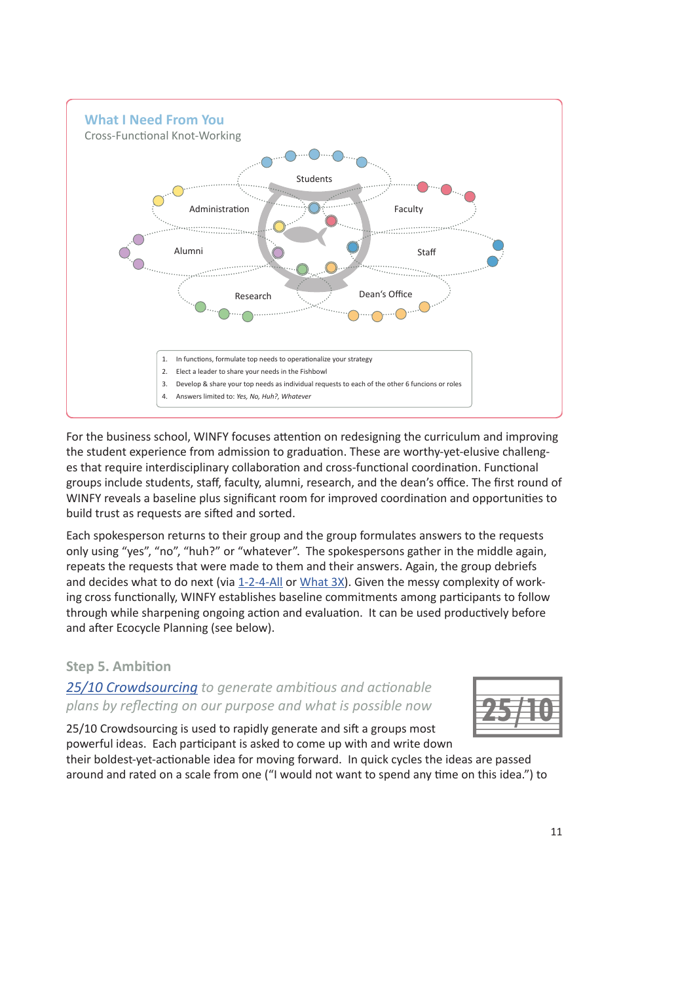

For the business school, WINFY focuses attention on redesigning the curriculum and improving the student experience from admission to graduation. These are worthy-yet-elusive challenges that require interdisciplinary collaboration and cross-functional coordination. Functional groups include students, staff, faculty, alumni, research, and the dean's office. The first round of WINFY reveals a baseline plus significant room for improved coordination and opportunities to build trust as requests are sifted and sorted.

Each spokesperson returns to their group and the group formulates answers to the requests only using "yes", "no", "huh?" or "whatever". The spokespersons gather in the middle again, repeats the requests that were made to them and their answers. Again, the group debriefs and decides what to do next (via 1-2-4-All or What 3X). Given the messy complexity of working cross functionally, WINFY establishes baseline commitments among participants to follow through while sharpening ongoing action and evaluation. It can be used productively before and after Ecocycle Planning (see below).

# **Step 5. Ambition**

*25/10 Crowdsourcing to generate ambitious and actionable plans by reflecting on our purpose and what is possible now* 



25/10 Crowdsourcing is used to rapidly generate and sift a groups most powerful ideas. Each participant is asked to come up with and write down

their boldest-yet-actionable idea for moving forward. In quick cycles the ideas are passed around and rated on a scale from one ("I would not want to spend any time on this idea.") to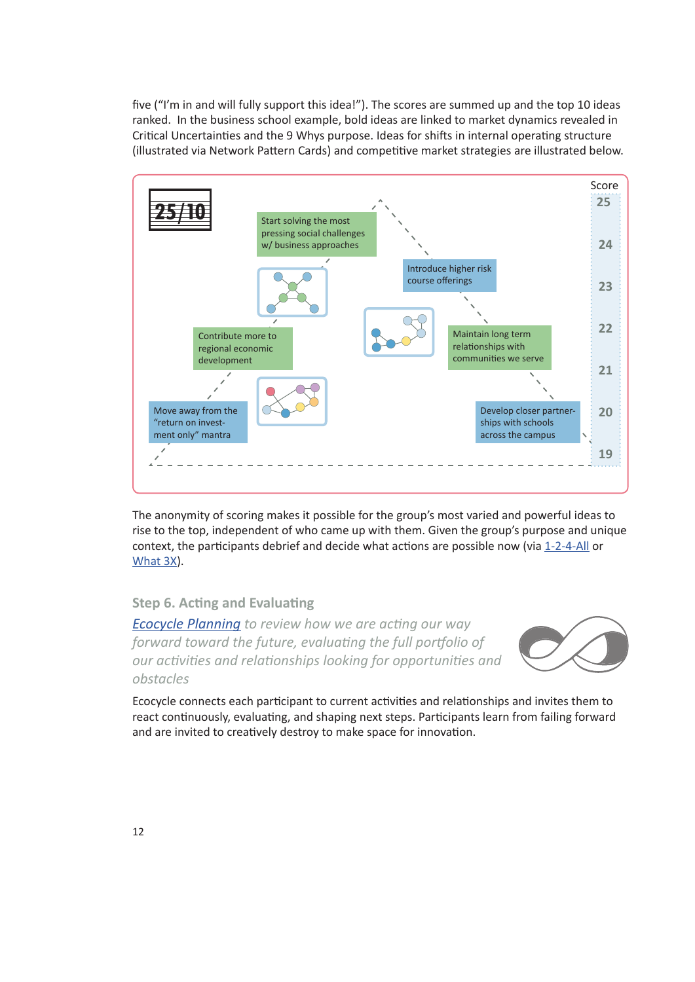five ("I'm in and will fully support this idea!"). The scores are summed up and the top 10 ideas ranked. In the business school example, bold ideas are linked to market dynamics revealed in Critical Uncertainties and the 9 Whys purpose. Ideas for shifts in internal operating structure (illustrated via Network Pattern Cards) and competitive market strategies are illustrated below.



The anonymity of scoring makes it possible for the group's most varied and powerful ideas to rise to the top, independent of who came up with them. Given the group's purpose and unique context, the participants debrief and decide what actions are possible now (via 1-2-4-All or What 3X).

#### **Step 6. Acting and Evaluating**

*Ecocycle Planning to review how we are acting our way forward toward the future, evaluating the full portfolio of our activities and relationships looking for opportunities and obstacles* 



Ecocycle connects each participant to current activities and relationships and invites them to react continuously, evaluating, and shaping next steps. Participants learn from failing forward and are invited to creatively destroy to make space for innovation.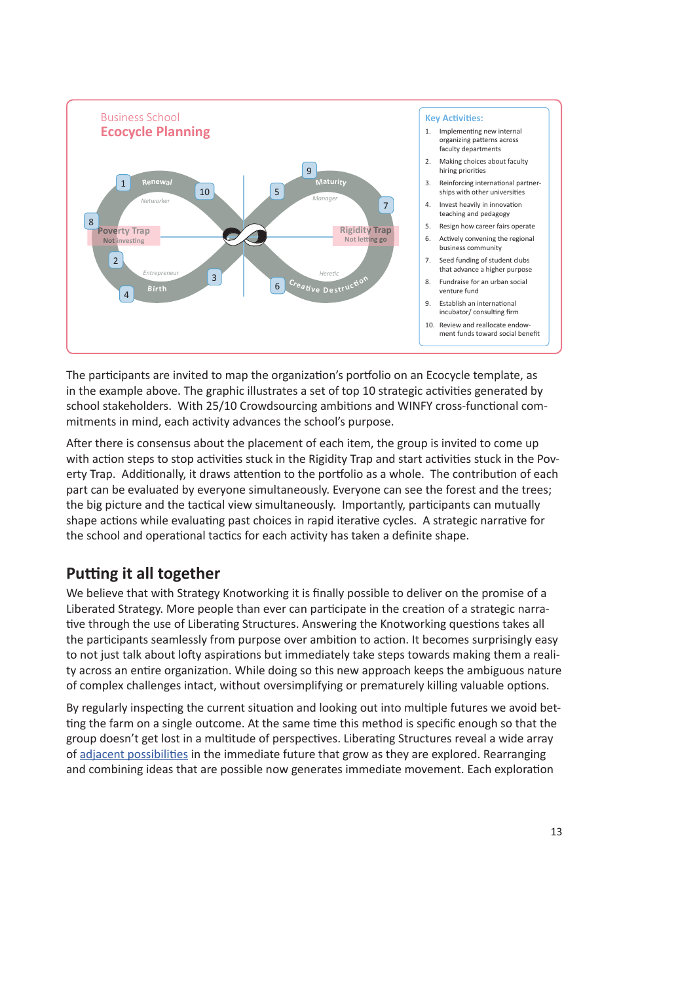

The participants are invited to map the organization's portfolio on an Ecocycle template, as in the example above. The graphic illustrates a set of top 10 strategic activities generated by school stakeholders. With 25/10 Crowdsourcing ambitions and WINFY cross-functional commitments in mind, each activity advances the school's purpose.

After there is consensus about the placement of each item, the group is invited to come up with action steps to stop activities stuck in the Rigidity Trap and start activities stuck in the Poverty Trap. Additionally, it draws attention to the portfolio as a whole. The contribution of each part can be evaluated by everyone simultaneously. Everyone can see the forest and the trees; the big picture and the tactical view simultaneously. Importantly, participants can mutually shape actions while evaluating past choices in rapid iterative cycles. A strategic narrative for the school and operational tactics for each activity has taken a definite shape.

# **Putting it all together**

We believe that with Strategy Knotworking it is finally possible to deliver on the promise of a Liberated Strategy. More people than ever can participate in the creation of a strategic narrative through the use of Liberating Structures. Answering the Knotworking questions takes all the participants seamlessly from purpose over ambition to action. It becomes surprisingly easy to not just talk about lofty aspirations but immediately take steps towards making them a reality across an entire organization. While doing so this new approach keeps the ambiguous nature of complex challenges intact, without oversimplifying or prematurely killing valuable options.

By regularly inspecting the current situation and looking out into multiple futures we avoid betting the farm on a single outcome. At the same time this method is specific enough so that the group doesn't get lost in a multitude of perspectives. Liberating Structures reveal a wide array of adjacent possibilities in the immediate future that grow as they are explored. Rearranging and combining ideas that are possible now generates immediate movement. Each exploration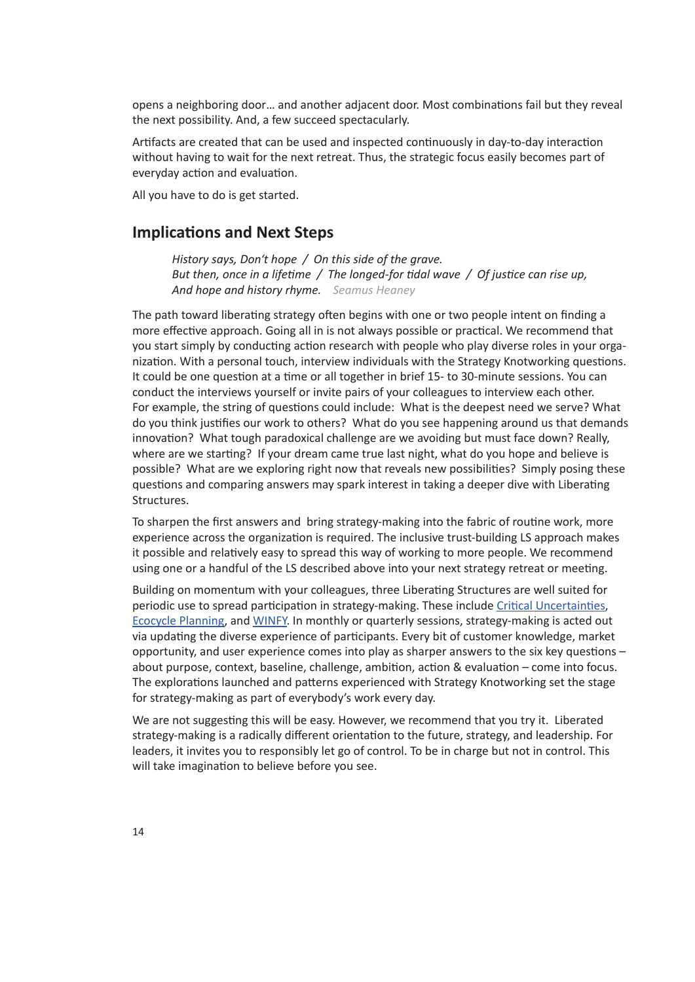opens a neighboring door… and another adjacent door. Most combinations fail but they reveal the next possibility. And, a few succeed spectacularly.

Artifacts are created that can be used and inspected continuously in day-to-day interaction without having to wait for the next retreat. Thus, the strategic focus easily becomes part of everyday action and evaluation.

All you have to do is get started.

## **Implications and Next Steps**

*History says, Don't hope / On this side of the grave. But then, once in a lifetime / The longed-for tidal wave / Of justice can rise up, And hope and history rhyme. Seamus Heaney*

The path toward liberating strategy often begins with one or two people intent on finding a more effective approach. Going all in is not always possible or practical. We recommend that you start simply by conducting action research with people who play diverse roles in your organization. With a personal touch, interview individuals with the Strategy Knotworking questions. It could be one question at a time or all together in brief 15- to 30-minute sessions. You can conduct the interviews yourself or invite pairs of your colleagues to interview each other. For example, the string of questions could include: What is the deepest need we serve? What do you think justifies our work to others? What do you see happening around us that demands innovation? What tough paradoxical challenge are we avoiding but must face down? Really, where are we starting? If your dream came true last night, what do you hope and believe is possible? What are we exploring right now that reveals new possibilities? Simply posing these questions and comparing answers may spark interest in taking a deeper dive with Liberating Structures.

To sharpen the first answers and bring strategy-making into the fabric of routine work, more experience across the organization is required. The inclusive trust-building LS approach makes it possible and relatively easy to spread this way of working to more people. We recommend using one or a handful of the LS described above into your next strategy retreat or meeting.

Building on momentum with your colleagues, three Liberating Structures are well suited for periodic use to spread participation in strategy-making. These include Critical Uncertainties, Ecocycle Planning, and WINFY. In monthly or quarterly sessions, strategy-making is acted out via updating the diverse experience of participants. Every bit of customer knowledge, market opportunity, and user experience comes into play as sharper answers to the six key questions – about purpose, context, baseline, challenge, ambition, action & evaluation – come into focus. The explorations launched and patterns experienced with Strategy Knotworking set the stage for strategy-making as part of everybody's work every day.

We are not suggesting this will be easy. However, we recommend that you try it. Liberated strategy-making is a radically different orientation to the future, strategy, and leadership. For leaders, it invites you to responsibly let go of control. To be in charge but not in control. This will take imagination to believe before you see.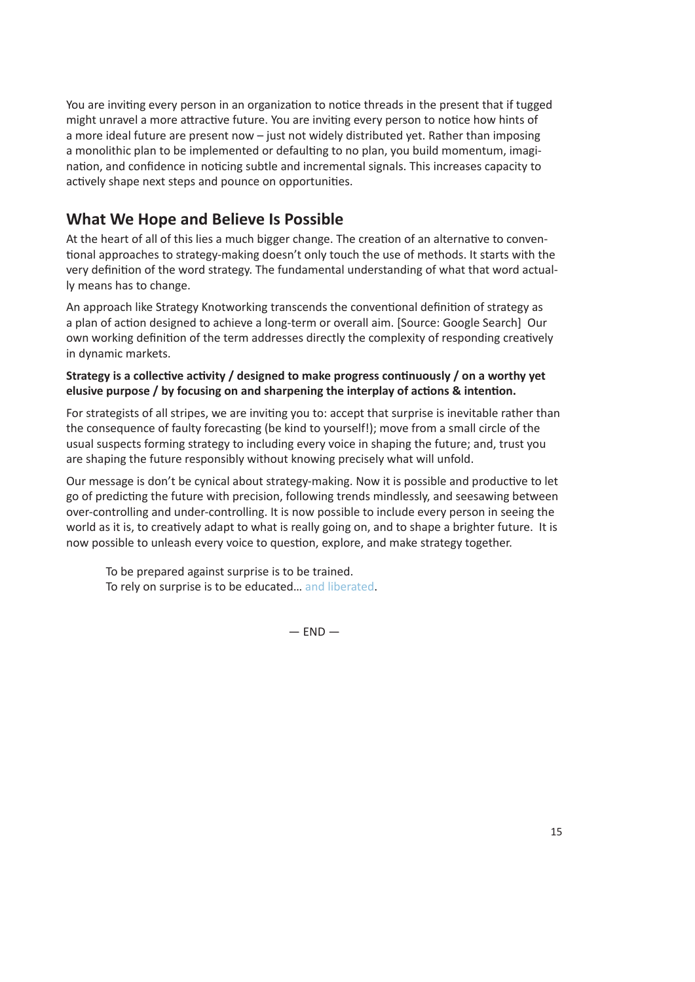You are inviting every person in an organization to notice threads in the present that if tugged might unravel a more attractive future. You are inviting every person to notice how hints of a more ideal future are present now – just not widely distributed yet. Rather than imposing a monolithic plan to be implemented or defaulting to no plan, you build momentum, imagination, and confidence in noticing subtle and incremental signals. This increases capacity to actively shape next steps and pounce on opportunities.

# **What We Hope and Believe Is Possible**

At the heart of all of this lies a much bigger change. The creation of an alternative to conventional approaches to strategy-making doesn't only touch the use of methods. It starts with the very definition of the word strategy. The fundamental understanding of what that word actually means has to change.

An approach like Strategy Knotworking transcends the conventional definition of strategy as a plan of action designed to achieve a long-term or overall aim. [Source: Google Search] Our own working definition of the term addresses directly the complexity of responding creatively in dynamic markets.

#### **Strategy is a collective activity / designed to make progress continuously / on a worthy yet elusive purpose / by focusing on and sharpening the interplay of actions & intention.**

For strategists of all stripes, we are inviting you to: accept that surprise is inevitable rather than the consequence of faulty forecasting (be kind to yourself!); move from a small circle of the usual suspects forming strategy to including every voice in shaping the future; and, trust you are shaping the future responsibly without knowing precisely what will unfold.

Our message is don't be cynical about strategy-making. Now it is possible and productive to let go of predicting the future with precision, following trends mindlessly, and seesawing between over-controlling and under-controlling. It is now possible to include every person in seeing the world as it is, to creatively adapt to what is really going on, and to shape a brighter future. It is now possible to unleash every voice to question, explore, and make strategy together.

To be prepared against surprise is to be trained. To rely on surprise is to be educated… and liberated.

 $-$  FND  $-$